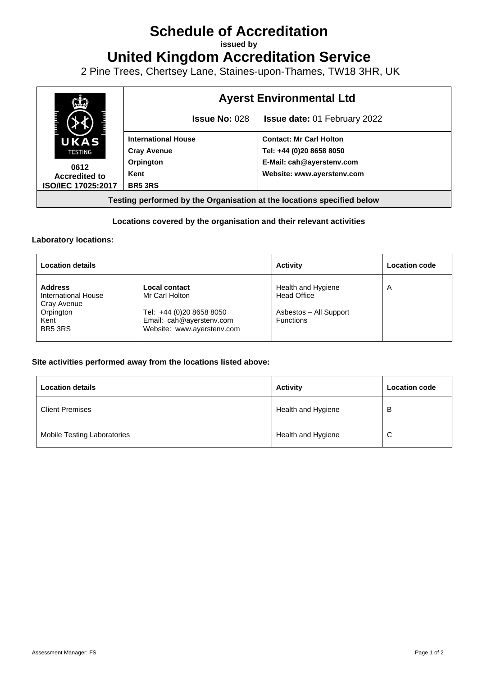# **Schedule of Accreditation**

**issued by**

**United Kingdom Accreditation Service**

2 Pine Trees, Chertsey Lane, Staines-upon-Thames, TW18 3HR, UK



## **Locations covered by the organisation and their relevant activities**

#### **Laboratory locations:**

| <b>Location details</b>                                                                          |                                                                                                                       | <b>Activity</b>                                                                        | <b>Location code</b> |
|--------------------------------------------------------------------------------------------------|-----------------------------------------------------------------------------------------------------------------------|----------------------------------------------------------------------------------------|----------------------|
| <b>Address</b><br>International House<br>Cray Avenue<br>Orpington<br>Kent<br>BR <sub>5</sub> 3RS | Local contact<br>Mr Carl Holton<br>Tel: +44 (0)20 8658 8050<br>Email: cah@ayerstenv.com<br>Website: www.ayerstenv.com | Health and Hygiene<br><b>Head Office</b><br>Asbestos - All Support<br><b>Functions</b> | A                    |

### **Site activities performed away from the locations listed above:**

| <b>Location details</b>            | <b>Activity</b>    | <b>Location code</b> |
|------------------------------------|--------------------|----------------------|
| <b>Client Premises</b>             | Health and Hygiene | в                    |
| <b>Mobile Testing Laboratories</b> | Health and Hygiene | C                    |